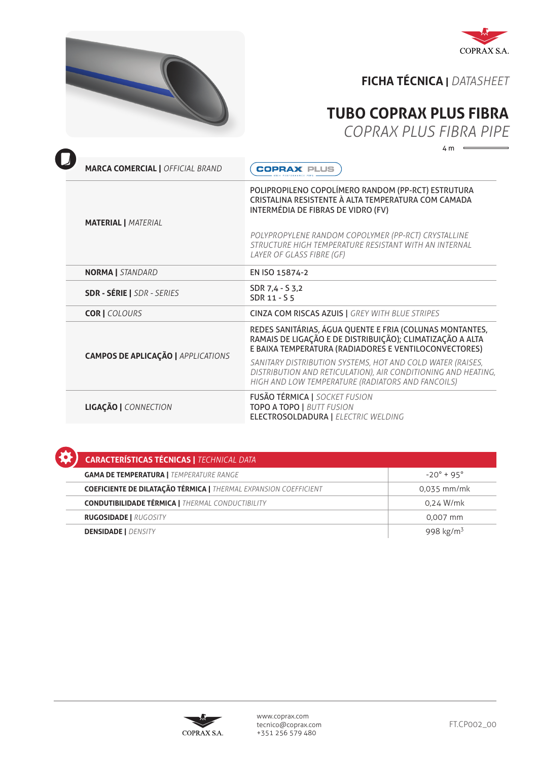



## **FICHA TÉCNICA |** *DATASHEET*

## **TUBO COPRAX PLUS FIBRA**

*COPRAX PLUS FIBRA PIPE*

 $4 m =$ 

| <b>MARCA COMERCIAL   OFFICIAL BRAND</b>   | <b>COPRAX PLUS</b>                                                                                                                                                                                                                                                                           |
|-------------------------------------------|----------------------------------------------------------------------------------------------------------------------------------------------------------------------------------------------------------------------------------------------------------------------------------------------|
| <b>MATERIAL   MATERIAL</b>                | POLIPROPILENO COPOLÍMERO RANDOM (PP-RCT) ESTRUTURA<br>CRISTALINA RESISTENTE À ALTA TEMPERATURA COM CAMADA<br>INTERMÉDIA DE FIBRAS DE VIDRO (FV)<br>POLYPROPYLENE RANDOM COPOLYMER (PP-RCT) CRYSTALLINE<br>STRUCTURE HIGH TEMPERATURE RESISTANT WITH AN INTERNAL<br>LAYER OF GLASS FIBRE (GF) |
| <b>NORMA</b>   STANDARD                   | EN ISO 15874-2                                                                                                                                                                                                                                                                               |
| <b>SDR - SÉRIE   SDR - SERIES</b>         | SDR 7,4 - S 3,2<br>SDR 11 - S 5                                                                                                                                                                                                                                                              |
| <b>COR   COLOURS</b>                      | <b>CINZA COM RISCAS AZUIS   GREY WITH BLUE STRIPES</b>                                                                                                                                                                                                                                       |
| <b>CAMPOS DE APLICAÇÃO   APPLICATIONS</b> | REDES SANITÁRIAS, ÁGUA QUENTE E FRIA (COLUNAS MONTANTES,<br>RAMAIS DE LIGAÇÃO E DE DISTRIBUIÇÃO); CLIMATIZAÇÃO A ALTA<br>E BAIXA TEMPERATURA (RADIADORES E VENTILOCONVECTORES)                                                                                                               |
|                                           | SANITARY DISTRIBUTION SYSTEMS, HOT AND COLD WATER (RAISES,<br>DISTRIBUTION AND RETICULATION), AIR CONDITIONING AND HEATING,<br>HIGH AND LOW TEMPERATURE (RADIATORS AND FANCOILS)                                                                                                             |
| LIGAÇÃO   CONNECTION                      | <b>FUSÃO TÉRMICA   SOCKET FUSION</b><br><b>TOPO A TOPO   BUTT FUSION</b><br><b>ELECTROSOLDADURA   ELECTRIC WELDING</b>                                                                                                                                                                       |

| <b>CARACTERÍSTICAS TÉCNICAS   TECHNICAL DATA</b>                        |                       |  |  |
|-------------------------------------------------------------------------|-----------------------|--|--|
| <b>GAMA DE TEMPERATURA   TEMPERATURE RANGE</b>                          | $-20^{\circ}$ + 95°   |  |  |
| <b>COEFICIENTE DE DILATAÇÃO TÉRMICA   THERMAL EXPANSION COEFFICIENT</b> | 0,035 mm/mk           |  |  |
| <b>CONDUTIBILIDADE TÉRMICA   THERMAL CONDUCTIBILITY</b>                 | 0,24 W/mk             |  |  |
| <b>RUGOSIDADE   RUGOSITY</b>                                            | 0,007 mm              |  |  |
| <b>DENSIDADE   DENSITY</b>                                              | 998 kg/m <sup>3</sup> |  |  |

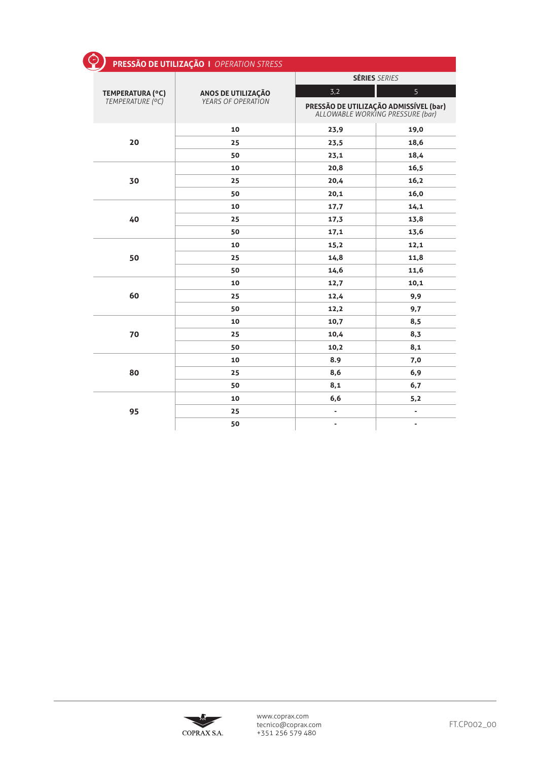| ⊙                | PRESSÃO DE UTILIZAÇÃO   OPERATION STRESS               |                          |                                                                            |
|------------------|--------------------------------------------------------|--------------------------|----------------------------------------------------------------------------|
|                  | <b>ANOS DE UTILIZAÇÃO</b><br><i>YEARS OF OPERATION</i> | <b>SÉRIES SERIES</b>     |                                                                            |
| TEMPERATURA (°C) |                                                        | 3,2                      | 5                                                                          |
| TEMPERATURE (°C) |                                                        |                          | PRESSÃO DE UTILIZAÇÃO ADMISSÍVEL (bar)<br>ALLOWABLE WORKING PRESSURE (bar) |
|                  | 10                                                     | 23,9                     | 19,0                                                                       |
| 20               | 25                                                     | 23,5                     | 18,6                                                                       |
|                  | 50                                                     | 23,1                     | 18,4                                                                       |
|                  | 10                                                     | 20,8                     | 16,5                                                                       |
| 30               | 25                                                     | 20,4                     | 16,2                                                                       |
|                  | 50                                                     | 20,1                     | 16,0                                                                       |
|                  | 10                                                     | 17,7                     | 14,1                                                                       |
| 40               | 25                                                     | 17,3                     | 13,8                                                                       |
|                  | 50                                                     | 17,1                     | 13,6                                                                       |
|                  | 10                                                     | 15,2                     | 12,1                                                                       |
| 50               | 25                                                     | 14,8                     | 11,8                                                                       |
|                  | 50                                                     | 14,6                     | 11,6                                                                       |
|                  | 10                                                     | 12,7                     | 10,1                                                                       |
| 60               | 25                                                     | 12,4                     | 9,9                                                                        |
|                  | 50                                                     | 12,2                     | 9,7                                                                        |
|                  | 10                                                     | 10,7                     | 8,5                                                                        |
| 70               | 25                                                     | 10,4                     | 8,3                                                                        |
|                  | 50                                                     | 10,2                     | 8,1                                                                        |
|                  | 10                                                     | 8.9                      | 7,0                                                                        |
| 80               | 25                                                     | 8,6                      | 6,9                                                                        |
|                  | 50                                                     | 8,1                      | 6,7                                                                        |
|                  | 10                                                     | 6,6                      | 5,2                                                                        |
| 95               | 25                                                     | -                        | $\overline{\phantom{a}}$                                                   |
|                  | 50                                                     | $\overline{\phantom{a}}$ | $\qquad \qquad \blacksquare$                                               |